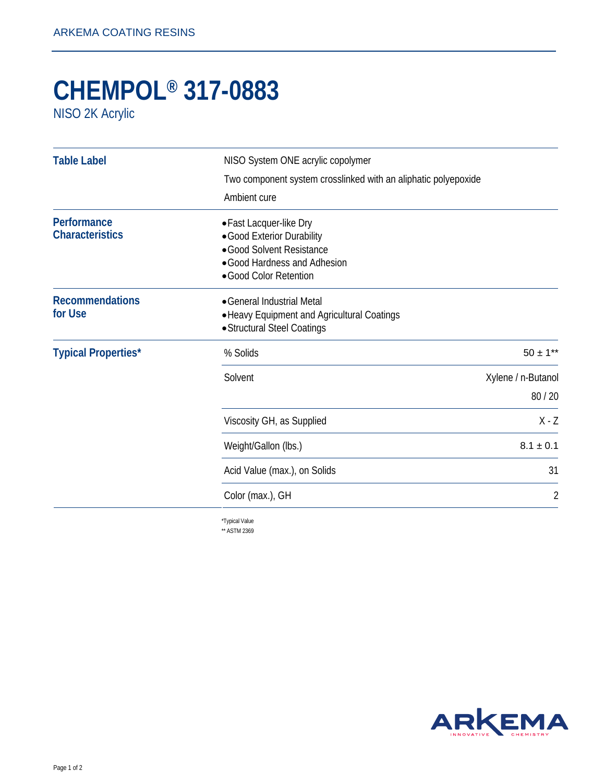## **CHEMPOL® 317-0883**

NISO 2K Acrylic

| <b>Table Label</b>                    | NISO System ONE acrylic copolymer                                                                                                            |                             |
|---------------------------------------|----------------------------------------------------------------------------------------------------------------------------------------------|-----------------------------|
|                                       | Two component system crosslinked with an aliphatic polyepoxide                                                                               |                             |
|                                       | Ambient cure                                                                                                                                 |                             |
| Performance<br><b>Characteristics</b> | • Fast Lacquer-like Dry<br>• Good Exterior Durability<br>• Good Solvent Resistance<br>• Good Hardness and Adhesion<br>• Good Color Retention |                             |
| <b>Recommendations</b><br>for Use     | • General Industrial Metal<br>• Heavy Equipment and Agricultural Coatings<br>• Structural Steel Coatings                                     |                             |
| <b>Typical Properties*</b>            | % Solids                                                                                                                                     | $50 \pm 1**$                |
|                                       | Solvent                                                                                                                                      | Xylene / n-Butanol<br>80/20 |
|                                       | Viscosity GH, as Supplied                                                                                                                    | $X - Z$                     |
|                                       | Weight/Gallon (lbs.)                                                                                                                         | $8.1 \pm 0.1$               |
|                                       | Acid Value (max.), on Solids                                                                                                                 | 31                          |
|                                       | Color (max.), GH                                                                                                                             | 2                           |
|                                       |                                                                                                                                              |                             |

\*Typical Value \*\* ASTM 2369